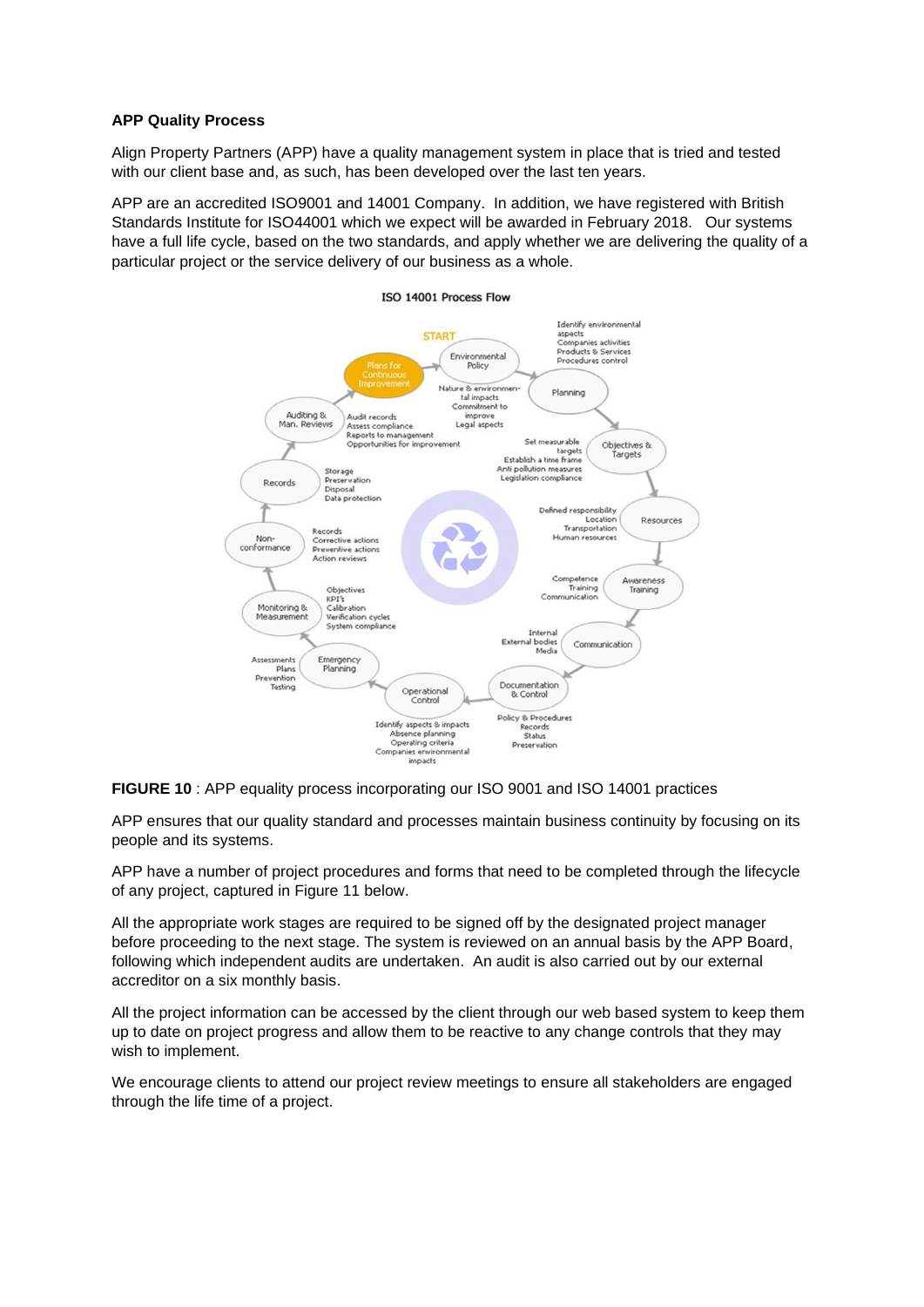## **APP Quality Process**

Align Property Partners (APP) have a quality management system in place that is tried and tested with our client base and, as such, has been developed over the last ten years.

APP are an accredited ISO9001 and 14001 Company. In addition, we have registered with British Standards Institute for ISO44001 which we expect will be awarded in February 2018. Our systems have a full life cycle, based on the two standards, and apply whether we are delivering the quality of a particular project or the service delivery of our business as a whole.



## **FIGURE 10** : APP equality process incorporating our ISO 9001 and ISO 14001 practices

APP ensures that our quality standard and processes maintain business continuity by focusing on its people and its systems.

APP have a number of project procedures and forms that need to be completed through the lifecycle of any project, captured in Figure 11 below.

All the appropriate work stages are required to be signed off by the designated project manager before proceeding to the next stage. The system is reviewed on an annual basis by the APP Board, following which independent audits are undertaken. An audit is also carried out by our external accreditor on a six monthly basis.

All the project information can be accessed by the client through our web based system to keep them up to date on project progress and allow them to be reactive to any change controls that they may wish to implement.

We encourage clients to attend our project review meetings to ensure all stakeholders are engaged through the life time of a project.